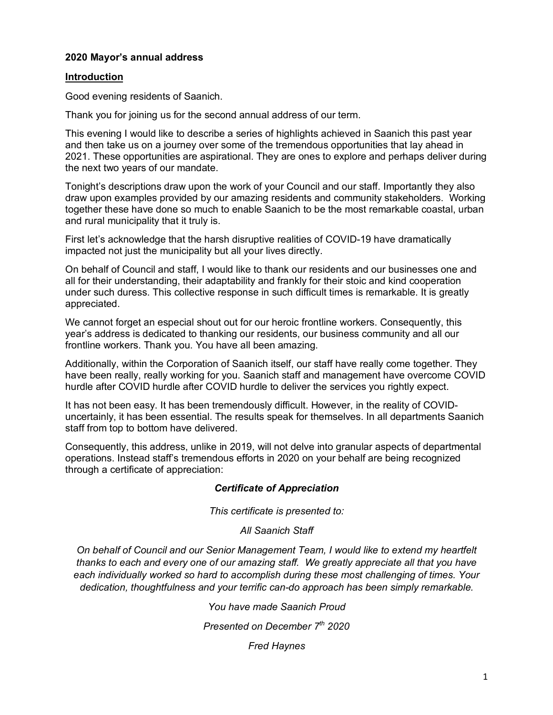## **2020 Mayor's annual address**

#### **Introduction**

Good evening residents of Saanich.

Thank you for joining us for the second annual address of our term.

This evening I would like to describe a series of highlights achieved in Saanich this past year and then take us on a journey over some of the tremendous opportunities that lay ahead in 2021. These opportunities are aspirational. They are ones to explore and perhaps deliver during the next two years of our mandate.

Tonight's descriptions draw upon the work of your Council and our staff. Importantly they also draw upon examples provided by our amazing residents and community stakeholders. Working together these have done so much to enable Saanich to be the most remarkable coastal, urban and rural municipality that it truly is.

First let's acknowledge that the harsh disruptive realities of COVID-19 have dramatically impacted not just the municipality but all your lives directly.

On behalf of Council and staff, I would like to thank our residents and our businesses one and all for their understanding, their adaptability and frankly for their stoic and kind cooperation under such duress. This collective response in such difficult times is remarkable. It is greatly appreciated.

We cannot forget an especial shout out for our heroic frontline workers. Consequently, this year's address is dedicated to thanking our residents, our business community and all our frontline workers. Thank you. You have all been amazing.

Additionally, within the Corporation of Saanich itself, our staff have really come together. They have been really, really working for you. Saanich staff and management have overcome COVID hurdle after COVID hurdle after COVID hurdle to deliver the services you rightly expect.

It has not been easy. It has been tremendously difficult. However, in the reality of COVIDuncertainly, it has been essential. The results speak for themselves. In all departments Saanich staff from top to bottom have delivered.

Consequently, this address, unlike in 2019, will not delve into granular aspects of departmental operations. Instead staff's tremendous efforts in 2020 on your behalf are being recognized through a certificate of appreciation:

## *Certificate of Appreciation*

*This certificate is presented to:*

## *All Saanich Staff*

*On behalf of Council and our Senior Management Team, I would like to extend my heartfelt thanks to each and every one of our amazing staff. We greatly appreciate all that you have each individually worked so hard to accomplish during these most challenging of times. Your dedication, thoughtfulness and your terrific can-do approach has been simply remarkable.*

*You have made Saanich Proud*

*Presented on December 7th 2020* 

*Fred Haynes*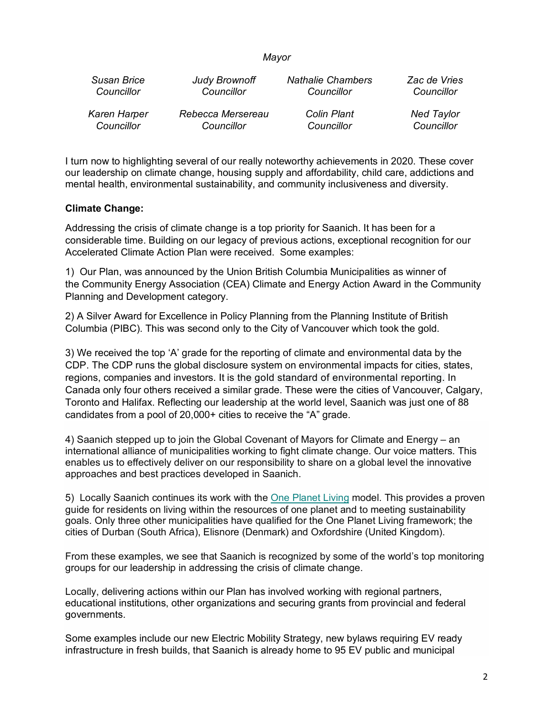#### *Mayor*

| Susan Brice  | <b>Judy Brownoff</b> | <b>Nathalie Chambers</b> | Zac de Vries      |
|--------------|----------------------|--------------------------|-------------------|
| Councillor   | Councillor           | Councillor               | Councillor        |
| Karen Harper | Rebecca Mersereau    | <b>Colin Plant</b>       | <b>Ned Taylor</b> |
| Councillor   | Councillor           | Councillor               | Councillor        |

I turn now to highlighting several of our really noteworthy achievements in 2020. These cover our leadership on climate change, housing supply and affordability, child care, addictions and mental health, environmental sustainability, and community inclusiveness and diversity.

#### **Climate Change:**

Addressing the crisis of climate change is a top priority for Saanich. It has been for a considerable time. Building on our legacy of previous actions, exceptional recognition for our Accelerated Climate Action Plan were received. Some examples:

1) Our Plan, was announced by the Union British Columbia Municipalities as winner of the Community Energy Association (CEA) Climate and Energy Action Award in the Community Planning and Development category.

2) A Silver Award for Excellence in Policy Planning from the Planning Institute of British Columbia (PIBC). This was second only to the City of Vancouver which took the gold.

3) We received the top 'A' grade for the reporting of climate and environmental data by the CDP. The CDP runs the global disclosure system on environmental impacts for cities, states, regions, companies and investors. It is the gold standard of environmental reporting. In Canada only four others received a similar grade. These were the cities of Vancouver, Calgary, Toronto and Halifax. Reflecting our leadership at the world level, Saanich was just one of 88 candidates from a pool of 20,000+ cities to receive the "A" grade.

4) Saanich stepped up to join the Global Covenant of Mayors for Climate and Energy – an international alliance of municipalities working to fight climate change. Our voice matters. This enables us to effectively deliver on our responsibility to share on a global level the innovative approaches and best practices developed in Saanich.

5) Locally Saanich continues its work with the One Planet Living model. This provides a proven guide for residents on living within the resources of one planet and to meeting sustainability goals. Only three other municipalities have qualified for the One Planet Living framework; the cities of Durban (South Africa), Elisnore (Denmark) and Oxfordshire (United Kingdom).

From these examples, we see that Saanich is recognized by some of the world's top monitoring groups for our leadership in addressing the crisis of climate change.

Locally, delivering actions within our Plan has involved working with regional partners, educational institutions, other organizations and securing grants from provincial and federal governments.

Some examples include our new Electric Mobility Strategy, new bylaws requiring EV ready infrastructure in fresh builds, that Saanich is already home to 95 EV public and municipal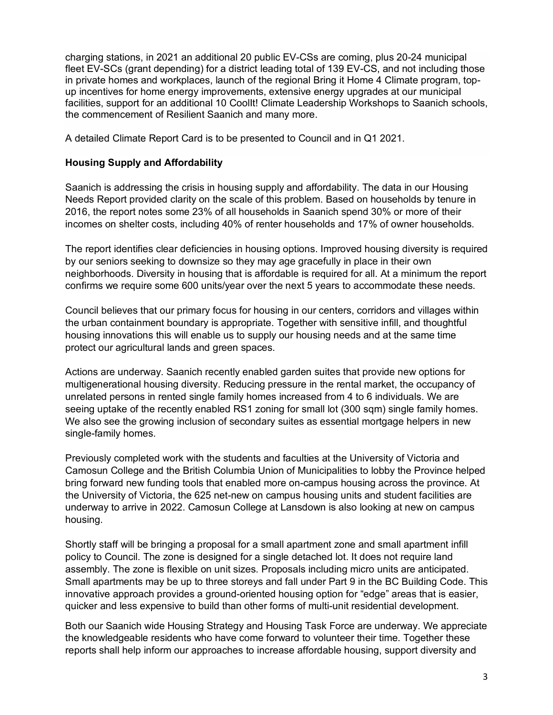charging stations, in 2021 an additional 20 public EV-CSs are coming, plus 20-24 municipal fleet EV-SCs (grant depending) for a district leading total of 139 EV-CS, and not including those in private homes and workplaces, launch of the regional Bring it Home 4 Climate program, topup incentives for home energy improvements, extensive energy upgrades at our municipal facilities, support for an additional 10 CoolIt! Climate Leadership Workshops to Saanich schools, the commencement of Resilient Saanich and many more.

A detailed Climate Report Card is to be presented to Council and in Q1 2021.

# **Housing Supply and Affordability**

Saanich is addressing the crisis in housing supply and affordability. The data in our Housing Needs Report provided clarity on the scale of this problem. Based on households by tenure in 2016, the report notes some 23% of all households in Saanich spend 30% or more of their incomes on shelter costs, including 40% of renter households and 17% of owner households.

The report identifies clear deficiencies in housing options. Improved housing diversity is required by our seniors seeking to downsize so they may age gracefully in place in their own neighborhoods. Diversity in housing that is affordable is required for all. At a minimum the report confirms we require some 600 units/year over the next 5 years to accommodate these needs.

Council believes that our primary focus for housing in our centers, corridors and villages within the urban containment boundary is appropriate. Together with sensitive infill, and thoughtful housing innovations this will enable us to supply our housing needs and at the same time protect our agricultural lands and green spaces.

Actions are underway. Saanich recently enabled garden suites that provide new options for multigenerational housing diversity. Reducing pressure in the rental market, the occupancy of unrelated persons in rented single family homes increased from 4 to 6 individuals. We are seeing uptake of the recently enabled RS1 zoning for small lot (300 sqm) single family homes. We also see the growing inclusion of secondary suites as essential mortgage helpers in new single-family homes.

Previously completed work with the students and faculties at the University of Victoria and Camosun College and the British Columbia Union of Municipalities to lobby the Province helped bring forward new funding tools that enabled more on-campus housing across the province. At the University of Victoria, the 625 net-new on campus housing units and student facilities are underway to arrive in 2022. Camosun College at Lansdown is also looking at new on campus housing.

Shortly staff will be bringing a proposal for a small apartment zone and small apartment infill policy to Council. The zone is designed for a single detached lot. It does not require land assembly. The zone is flexible on unit sizes. Proposals including micro units are anticipated. Small apartments may be up to three storeys and fall under Part 9 in the BC Building Code. This innovative approach provides a ground-oriented housing option for "edge" areas that is easier, quicker and less expensive to build than other forms of multi-unit residential development.

Both our Saanich wide Housing Strategy and Housing Task Force are underway. We appreciate the knowledgeable residents who have come forward to volunteer their time. Together these reports shall help inform our approaches to increase affordable housing, support diversity and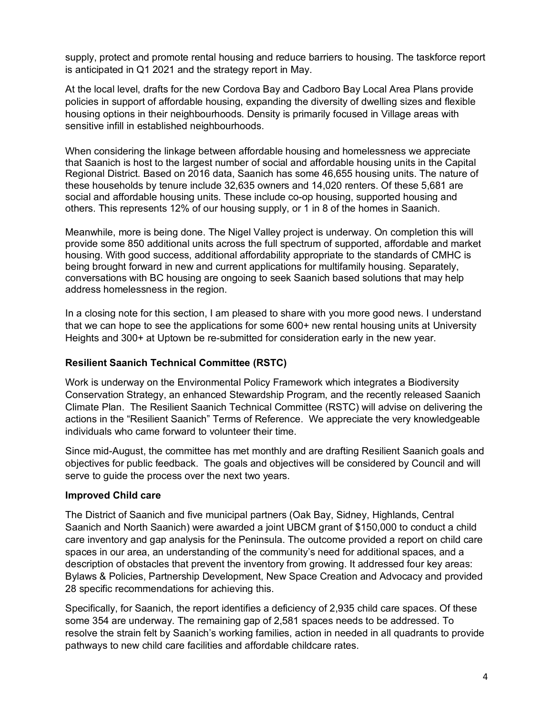supply, protect and promote rental housing and reduce barriers to housing. The taskforce report is anticipated in Q1 2021 and the strategy report in May.

At the local level, drafts for the new Cordova Bay and Cadboro Bay Local Area Plans provide policies in support of affordable housing, expanding the diversity of dwelling sizes and flexible housing options in their neighbourhoods. Density is primarily focused in Village areas with sensitive infill in established neighbourhoods.

When considering the linkage between affordable housing and homelessness we appreciate that Saanich is host to the largest number of social and affordable housing units in the Capital Regional District. Based on 2016 data, Saanich has some 46,655 housing units. The nature of these households by tenure include 32,635 owners and 14,020 renters. Of these 5,681 are social and affordable housing units. These include co-op housing, supported housing and others. This represents 12% of our housing supply, or 1 in 8 of the homes in Saanich.

Meanwhile, more is being done. The Nigel Valley project is underway. On completion this will provide some 850 additional units across the full spectrum of supported, affordable and market housing. With good success, additional affordability appropriate to the standards of CMHC is being brought forward in new and current applications for multifamily housing. Separately, conversations with BC housing are ongoing to seek Saanich based solutions that may help address homelessness in the region.

In a closing note for this section, I am pleased to share with you more good news. I understand that we can hope to see the applications for some 600+ new rental housing units at University Heights and 300+ at Uptown be re-submitted for consideration early in the new year.

# **Resilient Saanich Technical Committee (RSTC)**

Work is underway on the Environmental Policy Framework which integrates a Biodiversity Conservation Strategy, an enhanced Stewardship Program, and the recently released Saanich Climate Plan. The Resilient Saanich Technical Committee (RSTC) will advise on delivering the actions in the "Resilient Saanich" Terms of Reference. We appreciate the very knowledgeable individuals who came forward to volunteer their time.

Since mid-August, the committee has met monthly and are drafting Resilient Saanich goals and objectives for public feedback. The goals and objectives will be considered by Council and will serve to guide the process over the next two years.

## **Improved Child care**

The District of Saanich and five municipal partners (Oak Bay, Sidney, Highlands, Central Saanich and North Saanich) were awarded a joint UBCM grant of \$150,000 to conduct a child care inventory and gap analysis for the Peninsula. The outcome provided a report on child care spaces in our area, an understanding of the community's need for additional spaces, and a description of obstacles that prevent the inventory from growing. It addressed four key areas: Bylaws & Policies, Partnership Development, New Space Creation and Advocacy and provided 28 specific recommendations for achieving this.

Specifically, for Saanich, the report identifies a deficiency of 2,935 child care spaces. Of these some 354 are underway. The remaining gap of 2,581 spaces needs to be addressed. To resolve the strain felt by Saanich's working families, action in needed in all quadrants to provide pathways to new child care facilities and affordable childcare rates.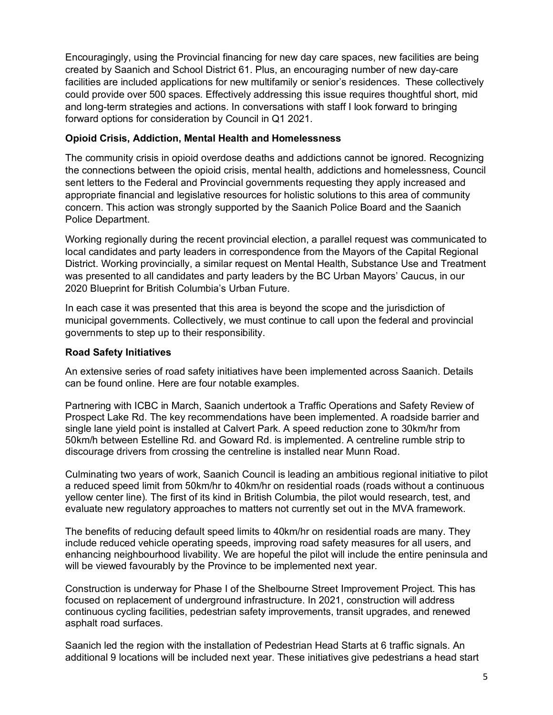Encouragingly, using the Provincial financing for new day care spaces, new facilities are being created by Saanich and School District 61. Plus, an encouraging number of new day-care facilities are included applications for new multifamily or senior's residences. These collectively could provide over 500 spaces. Effectively addressing this issue requires thoughtful short, mid and long-term strategies and actions. In conversations with staff I look forward to bringing forward options for consideration by Council in Q1 2021.

#### **Opioid Crisis, Addiction, Mental Health and Homelessness**

The community crisis in opioid overdose deaths and addictions cannot be ignored. Recognizing the connections between the opioid crisis, mental health, addictions and homelessness, Council sent letters to the Federal and Provincial governments requesting they apply increased and appropriate financial and legislative resources for holistic solutions to this area of community concern. This action was strongly supported by the Saanich Police Board and the Saanich Police Department.

Working regionally during the recent provincial election, a parallel request was communicated to local candidates and party leaders in correspondence from the Mayors of the Capital Regional District. Working provincially, a similar request on Mental Health, Substance Use and Treatment was presented to all candidates and party leaders by the BC Urban Mayors' Caucus, in our 2020 Blueprint for British Columbia's Urban Future.

In each case it was presented that this area is beyond the scope and the jurisdiction of municipal governments. Collectively, we must continue to call upon the federal and provincial governments to step up to their responsibility.

#### **Road Safety Initiatives**

An extensive series of road safety initiatives have been implemented across Saanich. Details can be found online. Here are four notable examples.

Partnering with ICBC in March, Saanich undertook a Traffic Operations and Safety Review of Prospect Lake Rd. The key recommendations have been implemented. A roadside barrier and single lane yield point is installed at Calvert Park. A speed reduction zone to 30km/hr from 50km/h between Estelline Rd. and Goward Rd. is implemented. A centreline rumble strip to discourage drivers from crossing the centreline is installed near Munn Road.

Culminating two years of work, Saanich Council is leading an ambitious regional initiative to pilot a reduced speed limit from 50km/hr to 40km/hr on residential roads (roads without a continuous yellow center line). The first of its kind in British Columbia, the pilot would research, test, and evaluate new regulatory approaches to matters not currently set out in the MVA framework.

The benefits of reducing default speed limits to 40km/hr on residential roads are many. They include reduced vehicle operating speeds, improving road safety measures for all users, and enhancing neighbourhood livability. We are hopeful the pilot will include the entire peninsula and will be viewed favourably by the Province to be implemented next year.

Construction is underway for Phase I of the Shelbourne Street Improvement Project. This has focused on replacement of underground infrastructure. In 2021, construction will address continuous cycling facilities, pedestrian safety improvements, transit upgrades, and renewed asphalt road surfaces.

Saanich led the region with the installation of Pedestrian Head Starts at 6 traffic signals. An additional 9 locations will be included next year. These initiatives give pedestrians a head start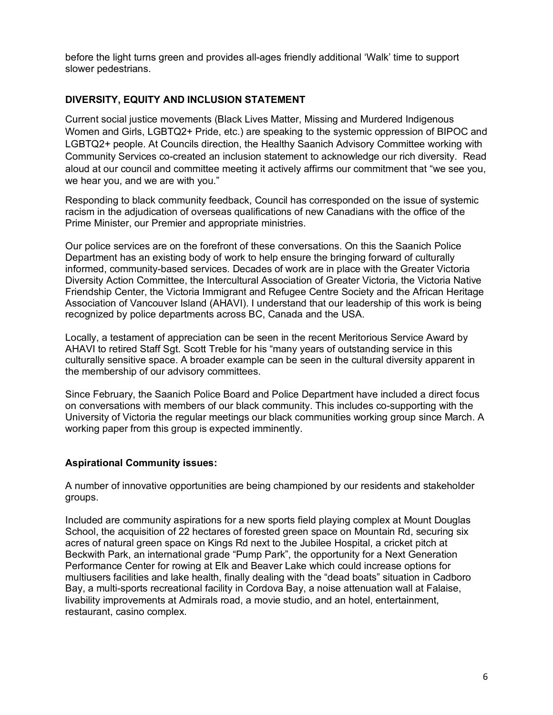before the light turns green and provides all-ages friendly additional 'Walk' time to support slower pedestrians.

# **DIVERSITY, EQUITY AND INCLUSION STATEMENT**

Current social justice movements (Black Lives Matter, Missing and Murdered Indigenous Women and Girls, LGBTQ2+ Pride, etc.) are speaking to the systemic oppression of BIPOC and LGBTQ2+ people. At Councils direction, the Healthy Saanich Advisory Committee working with Community Services co-created an inclusion statement to acknowledge our rich diversity. Read aloud at our council and committee meeting it actively affirms our commitment that "we see you, we hear you, and we are with you."

Responding to black community feedback, Council has corresponded on the issue of systemic racism in the adjudication of overseas qualifications of new Canadians with the office of the Prime Minister, our Premier and appropriate ministries.

Our police services are on the forefront of these conversations. On this the Saanich Police Department has an existing body of work to help ensure the bringing forward of culturally informed, community-based services. Decades of work are in place with the Greater Victoria Diversity Action Committee, the Intercultural Association of Greater Victoria, the Victoria Native Friendship Center, the Victoria Immigrant and Refugee Centre Society and the African Heritage Association of Vancouver Island (AHAVI). I understand that our leadership of this work is being recognized by police departments across BC, Canada and the USA.

Locally, a testament of appreciation can be seen in the recent Meritorious Service Award by AHAVI to retired Staff Sgt. Scott Treble for his "many years of outstanding service in this culturally sensitive space. A broader example can be seen in the cultural diversity apparent in the membership of our advisory committees.

Since February, the Saanich Police Board and Police Department have included a direct focus on conversations with members of our black community. This includes co-supporting with the University of Victoria the regular meetings our black communities working group since March. A working paper from this group is expected imminently.

## **Aspirational Community issues:**

A number of innovative opportunities are being championed by our residents and stakeholder groups.

Included are community aspirations for a new sports field playing complex at Mount Douglas School, the acquisition of 22 hectares of forested green space on Mountain Rd, securing six acres of natural green space on Kings Rd next to the Jubilee Hospital, a cricket pitch at Beckwith Park, an international grade "Pump Park", the opportunity for a Next Generation Performance Center for rowing at Elk and Beaver Lake which could increase options for multiusers facilities and lake health, finally dealing with the "dead boats" situation in Cadboro Bay, a multi-sports recreational facility in Cordova Bay, a noise attenuation wall at Falaise, livability improvements at Admirals road, a movie studio, and an hotel, entertainment, restaurant, casino complex.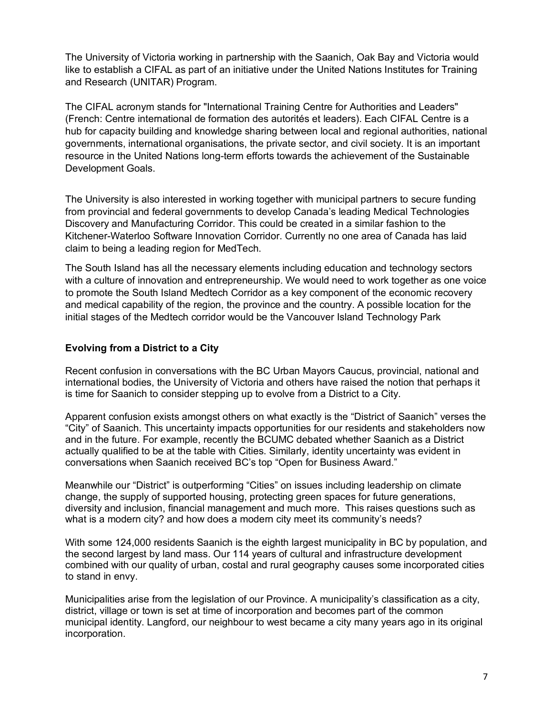The University of Victoria working in partnership with the Saanich, Oak Bay and Victoria would like to establish a CIFAL as part of an initiative under the United Nations Institutes for Training and Research (UNITAR) Program.

The CIFAL acronym stands for "International Training Centre for Authorities and Leaders" (French: Centre international de formation des autorités et leaders). Each CIFAL Centre is a hub for capacity building and knowledge sharing between local and regional authorities, national governments, international organisations, the private sector, and civil society. It is an important resource in the United Nations long-term efforts towards the achievement of the Sustainable Development Goals.

The University is also interested in working together with municipal partners to secure funding from provincial and federal governments to develop Canada's leading Medical Technologies Discovery and Manufacturing Corridor. This could be created in a similar fashion to the Kitchener-Waterloo Software Innovation Corridor. Currently no one area of Canada has laid claim to being a leading region for MedTech.

The South Island has all the necessary elements including education and technology sectors with a culture of innovation and entrepreneurship. We would need to work together as one voice to promote the South Island Medtech Corridor as a key component of the economic recovery and medical capability of the region, the province and the country. A possible location for the initial stages of the Medtech corridor would be the Vancouver Island Technology Park

## **Evolving from a District to a City**

Recent confusion in conversations with the BC Urban Mayors Caucus, provincial, national and international bodies, the University of Victoria and others have raised the notion that perhaps it is time for Saanich to consider stepping up to evolve from a District to a City.

Apparent confusion exists amongst others on what exactly is the "District of Saanich" verses the "City" of Saanich. This uncertainty impacts opportunities for our residents and stakeholders now and in the future. For example, recently the BCUMC debated whether Saanich as a District actually qualified to be at the table with Cities. Similarly, identity uncertainty was evident in conversations when Saanich received BC's top "Open for Business Award."

Meanwhile our "District" is outperforming "Cities" on issues including leadership on climate change, the supply of supported housing, protecting green spaces for future generations, diversity and inclusion, financial management and much more. This raises questions such as what is a modern city? and how does a modern city meet its community's needs?

With some 124,000 residents Saanich is the eighth largest municipality in BC by population, and the second largest by land mass. Our 114 years of cultural and infrastructure development combined with our quality of urban, costal and rural geography causes some incorporated cities to stand in envy.

Municipalities arise from the legislation of our Province. A municipality's classification as a city, district, village or town is set at time of incorporation and becomes part of the common municipal identity. Langford, our neighbour to west became a city many years ago in its original incorporation.